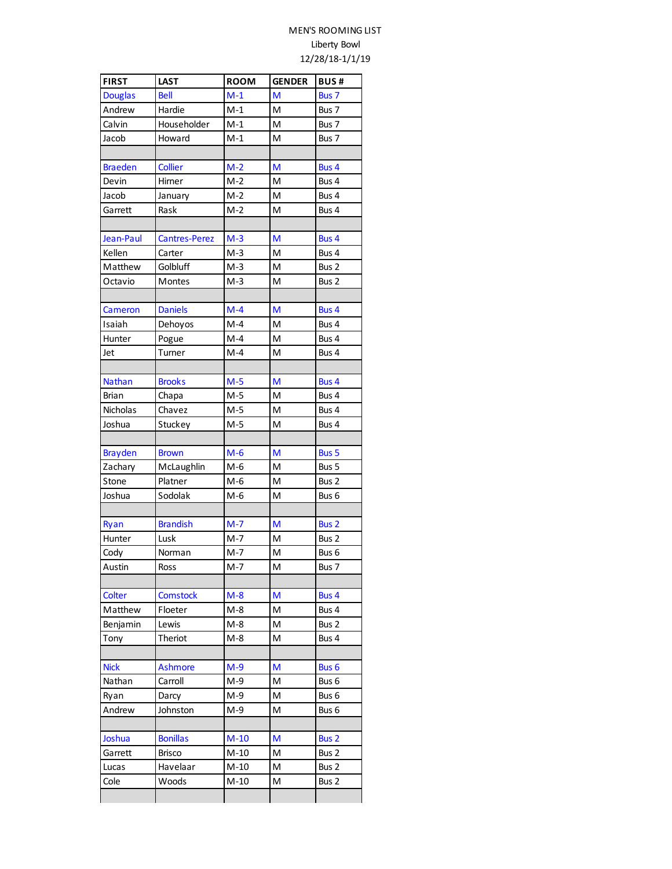## MEN'S ROOMING LIST Liberty Bowl 12/28/18-1/1/19

| <b>FIRST</b>   | <b>LAST</b>          | <b>ROOM</b> | <b>GENDER</b> | <b>BUS#</b>      |
|----------------|----------------------|-------------|---------------|------------------|
| <b>Douglas</b> | <b>Bell</b>          | $M-1$       | M             | Bus 7            |
| Andrew         | Hardie               | $M-1$       | M             | Bus 7            |
| Calvin         | Householder          | $M-1$       | M             | Bus 7            |
| Jacob          | Howard               | $M-1$       | M             | Bus 7            |
|                |                      |             |               |                  |
| <b>Braeden</b> | <b>Collier</b>       | $M-2$       | M             | Bus 4            |
| Devin          | Hirner               | $M-2$       | M             | Bus 4            |
| Jacob          | January              | $M-2$       | M             | Bus 4            |
| Garrett        | Rask                 | $M-2$       | M             | Bus 4            |
|                |                      |             |               |                  |
| Jean-Paul      | <b>Cantres-Perez</b> | $M-3$       | M             | Bus 4            |
| Kellen         | Carter               | $M-3$       | M             | Bus 4            |
| Matthew        | Golbluff             | $M-3$       | M             | Bus 2            |
| Octavio        | Montes               | $M-3$       | M             | Bus 2            |
|                |                      |             |               |                  |
| Cameron        | <b>Daniels</b>       | $M-4$       | M             | Bus 4            |
| Isaiah         | Dehoyos              | $M-4$       | M             | Bus 4            |
| Hunter         | Pogue                | $M-4$       | M             | Bus 4            |
| Jet            | Turner               | $M-4$       | M             | Bus 4            |
|                |                      |             |               |                  |
| <b>Nathan</b>  | <b>Brooks</b>        | $M-5$       | M             | Bus 4            |
| <b>Brian</b>   | Chapa                | $M-5$       | M             | Bus 4            |
| Nicholas       | Chavez               | $M-5$       | M             | Bus 4            |
| Joshua         | Stuckey              | $M-5$       | M             | Bus 4            |
|                |                      |             |               |                  |
| <b>Brayden</b> | <b>Brown</b>         | $M-6$       | M             | <b>Bus 5</b>     |
| Zachary        | McLaughlin           | $M-6$       | M             | Bus 5            |
| Stone          | Platner              | $M-6$       | M             | Bus 2            |
| Joshua         | Sodolak              | M-6         | M             | Bus 6            |
|                |                      |             |               |                  |
| Ryan           | <b>Brandish</b>      | $M-7$       | M             | Bus <sub>2</sub> |
| Hunter         | Lusk                 | $M-7$       | M             | Bus 2            |
| Cody           | Norman               | $M-7$       | M             | Bus 6            |
| Austin         | Ross                 | M-7         | м             | Bus 7            |
|                |                      |             |               |                  |
| Colter         | <b>Comstock</b>      | $M - 8$     | M             | Bus 4            |
| Matthew        | Floeter              | M-8         | M             | Bus 4            |
| Benjamin       | Lewis                | M-8         | M             | Bus 2            |
| Tony           | Theriot              | M-8         | м             | Bus 4            |
|                |                      |             |               |                  |
| <b>Nick</b>    | <b>Ashmore</b>       | $M-9$       | M             | Bus <sub>6</sub> |
| Nathan         | Carroll              | $M-9$       | M             | Bus 6            |
| Ryan           | Darcy                | M-9         | M             | Bus 6            |
| Andrew         | Johnston             | $M-9$       | M             | Bus 6            |
|                |                      |             |               |                  |
| Joshua         | <b>Bonillas</b>      | $M-10$      | M             | Bus <sub>2</sub> |
| Garrett        | Brisco               | $M-10$      | м             | Bus 2            |
| Lucas          | Havelaar             | $M-10$      | м             | Bus 2            |
| Cole           | Woods                | $M-10$      | M             | Bus 2            |
|                |                      |             |               |                  |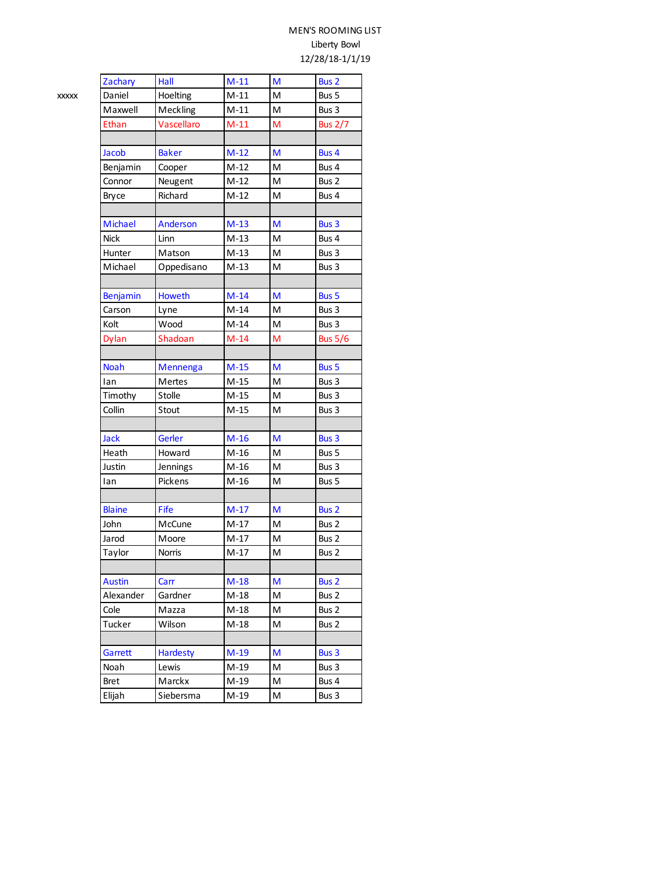## MEN'S ROOMING LIST Liberty Bowl 12/28/18-1/1/19

| Zachary        | Hall            | $M-11$ | M | Bus 2            |
|----------------|-----------------|--------|---|------------------|
| Daniel         | Hoelting        | $M-11$ | M | Bus 5            |
| Maxwell        | Meckling        | $M-11$ | M | Bus 3            |
| Ethan          | Vascellaro      | $M-11$ | M | <b>Bus 2/7</b>   |
|                |                 |        |   |                  |
| Jacob          | <b>Baker</b>    | $M-12$ | М | Bus 4            |
| Benjamin       | Cooper          | $M-12$ | M | Bus 4            |
| Connor         | Neugent         | $M-12$ | M | Bus 2            |
| <b>Bryce</b>   | Richard         | $M-12$ | M | Bus 4            |
|                |                 |        |   |                  |
| <b>Michael</b> | Anderson        | $M-13$ | M | Bus 3            |
| <b>Nick</b>    | Linn            | $M-13$ | M | Bus 4            |
| Hunter         | Matson          | $M-13$ | M | Bus 3            |
| Michael        | Oppedisano      | $M-13$ | M | Bus 3            |
|                |                 |        |   |                  |
| Benjamin       | <b>Howeth</b>   | $M-14$ | M | Bus 5            |
| Carson         | Lyne            | $M-14$ | M | Bus 3            |
| Kolt           | Wood            | $M-14$ | M | Bus 3            |
| <b>Dylan</b>   | Shadoan         | $M-14$ | M | <b>Bus 5/6</b>   |
|                |                 |        |   |                  |
| <b>Noah</b>    | Mennenga        | $M-15$ | M | Bus 5            |
| lan            | Mertes          | $M-15$ | M | Bus 3            |
| Timothy        | Stolle          | $M-15$ | Μ | Bus 3            |
| Collin         | Stout           | $M-15$ | M | Bus 3            |
|                |                 |        |   |                  |
| <b>Jack</b>    | Gerler          | $M-16$ | M | Bus 3            |
| Heath          | Howard          | $M-16$ | M | Bus 5            |
| Justin         | Jennings        | $M-16$ | M | Bus 3            |
| lan            | Pickens         | $M-16$ | Μ | Bus 5            |
|                |                 |        |   |                  |
| <b>Blaine</b>  | Fife            | $M-17$ | M | Bus <sub>2</sub> |
| John           | McCune          | $M-17$ | M | Bus 2            |
| Jarod          | Moore           | $M-17$ | M | Bus 2            |
| Taylor         | <b>Norris</b>   | $M-17$ | M | Bus 2            |
|                |                 |        |   |                  |
| <b>Austin</b>  | Carr            | $M-18$ | M | Bus 2            |
| Alexander      | Gardner         | M-18   | Μ | Bus 2            |
| Cole           | Mazza           | $M-18$ | м | Bus 2            |
| Tucker         | Wilson          | $M-18$ | M | Bus 2            |
|                |                 |        |   |                  |
| Garrett        | <b>Hardesty</b> | $M-19$ | М | Bus 3            |
| Noah           | Lewis           | M-19   | Μ | Bus 3            |
| <b>Bret</b>    | Marckx          | $M-19$ | Μ | Bus 4            |
| Elijah         | Siebersma       | M-19   | M | Bus 3            |
|                |                 |        |   |                  |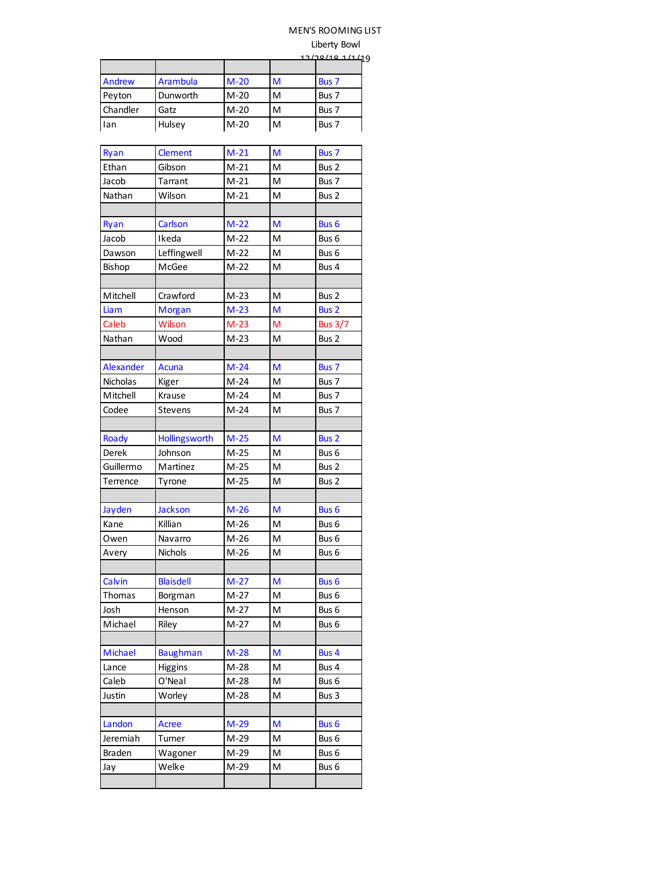## MEN'S ROOMING LIST

Liberty Bowl

|          | 12/28/181/11/19 |        |   |       |
|----------|-----------------|--------|---|-------|
|          |                 |        |   |       |
| Andrew   | Arambula        | $M-20$ | M | Bus 7 |
| Peyton   | Dunworth        | $M-20$ | M | Bus 7 |
| Chandler | Gatz            | $M-20$ | M | Bus 7 |
| lan      | Hulsey          | $M-20$ | M | Bus 7 |

| Ryan            | <b>Clement</b>   | $M-21$ | M | Bus 7            |
|-----------------|------------------|--------|---|------------------|
| Ethan           | Gibson           | $M-21$ | M | Bus 2            |
| Jacob           | Tarrant          | $M-21$ | M | Bus 7            |
| Nathan          | Wilson           | $M-21$ | M | Bus 2            |
|                 |                  |        |   |                  |
| Ryan            | Carlson          | $M-22$ | M | Bus <sub>6</sub> |
| Jacob           | Ikeda            | $M-22$ | M | Bus 6            |
| Dawson          | Leffingwell      | $M-22$ | M | Bus <sub>6</sub> |
| Bishop          | McGee            | $M-22$ | M | Bus 4            |
|                 |                  |        |   |                  |
| Mitchell        | Crawford         | $M-23$ | M | Bus 2            |
| Liam            | <b>Morgan</b>    | $M-23$ | M | <b>Bus 2</b>     |
| Caleb           | Wilson           | $M-23$ | M | <b>Bus 3/7</b>   |
| Nathan          | Wood             | $M-23$ | M | Bus 2            |
|                 |                  |        |   |                  |
| Alexander       | <b>Acuna</b>     | $M-24$ | M | Bus 7            |
| <b>Nicholas</b> | Kiger            | $M-24$ | M | Bus 7            |
| Mitchell        | Krause           | $M-24$ | M | Bus 7            |
| Codee           | Stevens          | $M-24$ | M | Bus 7            |
|                 |                  |        |   |                  |
| Roady           | Hollingsworth    | $M-25$ | M | <b>Bus 2</b>     |
| Derek           | Johnson          | $M-25$ | M | Bus 6            |
| Guillermo       | Martinez         | $M-25$ | M | Bus 2            |
| Terrence        | Tyrone           | $M-25$ | M | Bus 2            |
|                 |                  |        |   |                  |
| Jayden          | <b>Jackson</b>   | $M-26$ | M | Bus 6            |
| Kane            | Killian          | $M-26$ | M | Bus <sub>6</sub> |
| Owen            | Navarro          | $M-26$ | M | Bus 6            |
| Avery           | Nichols          | $M-26$ | M | Bus 6            |
|                 |                  |        |   |                  |
| Calvin          | <b>Blaisdell</b> | $M-27$ | M | Bus 6            |
| Thomas          | Borgman          | $M-27$ | M | Bus 6            |
| Josh            | Henson           | M-27   | M | Bus <sub>6</sub> |
| Michael         | Riley            | $M-27$ | M | Bus <sub>6</sub> |
|                 |                  |        |   |                  |
| Michael         | <b>Baughman</b>  | $M-28$ | M | Bus 4            |
| Lance           | Higgins          | $M-28$ | M | Bus 4            |
| Caleb           | O'Neal           | $M-28$ | M | Bus 6            |
| Justin          | Worley           | $M-28$ | M | Bus 3            |
|                 |                  |        |   |                  |
| Landon          | Acree            | $M-29$ | M | Bus <sub>6</sub> |
| Jeremiah        | Turner           | M-29   | Μ | Bus 6            |
| Braden          | Wagoner          | M-29   | M | Bus 6            |
| Jay             | Welke            | $M-29$ | M | Bus 6            |
|                 |                  |        |   |                  |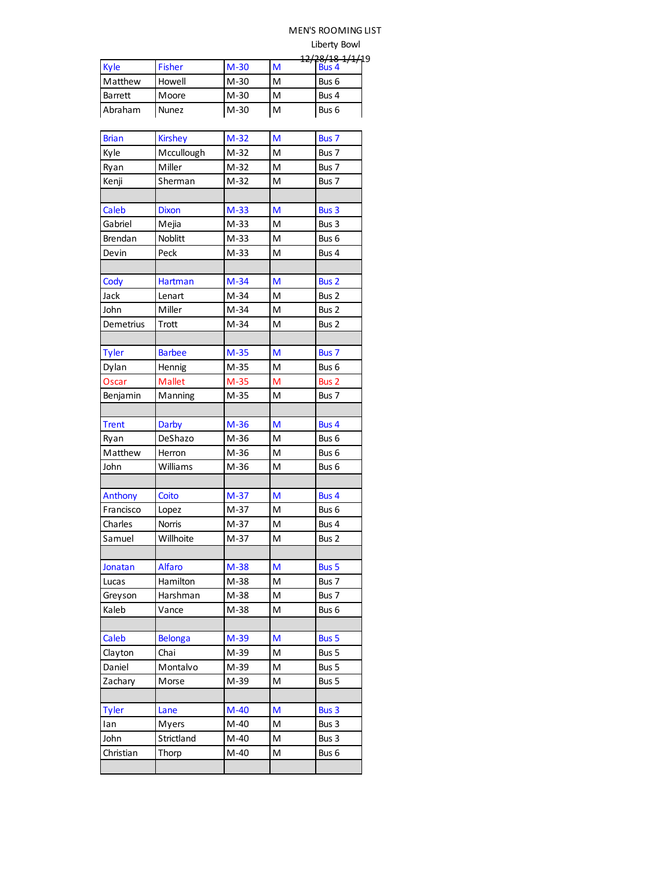# MEN'S ROOMING LIST

Liberty Bowl

|         |               |        |   | <u>17/70/10 1/1/10</u> |
|---------|---------------|--------|---|------------------------|
| Kyle    | <b>Fisher</b> | $M-30$ | M | Bus 4                  |
| Matthew | Howell        | $M-30$ | м | Bus 6                  |
| Barrett | Moore         | M-30   | м | Bus 4                  |
| Abraham | <b>Nunez</b>  | M-30   | M | Bus 6                  |

| <b>Brian</b> | <b>Kirshey</b> | $M-32$ | M | Bus 7            |
|--------------|----------------|--------|---|------------------|
| Kyle         | Mccullough     | $M-32$ | M | Bus 7            |
| Ryan         | Miller         | $M-32$ | M | Bus 7            |
| Kenji        | Sherman        | $M-32$ | M | Bus 7            |
|              |                |        |   |                  |
| Caleb        | <b>Dixon</b>   | $M-33$ | M | Bus 3            |
| Gabriel      | Mejia          | $M-33$ | M | Bus 3            |
| Brendan      | Noblitt        | $M-33$ | M | Bus 6            |
| Devin        | Peck           | $M-33$ | M | Bus 4            |
|              |                |        |   |                  |
| Cody         | <b>Hartman</b> | $M-34$ | M | Bus <sub>2</sub> |
| Jack         | Lenart         | $M-34$ | M | Bus 2            |
| John         | Miller         | $M-34$ | M | Bus 2            |
| Demetrius    | Trott          | $M-34$ | M | Bus 2            |
|              |                |        |   |                  |
| <b>Tyler</b> | <b>Barbee</b>  | $M-35$ | M | Bus 7            |
| Dylan        | Hennig         | $M-35$ | M | Bus 6            |
| Oscar        | <b>Mallet</b>  | $M-35$ | M | Bus <sub>2</sub> |
| Benjamin     | Manning        | $M-35$ | M | Bus 7            |
|              |                |        |   |                  |
| <b>Trent</b> | <b>Darby</b>   | $M-36$ | M | Bus 4            |
| Ryan         | DeShazo        | M-36   | M | Bus <sub>6</sub> |
| Matthew      | Herron         | $M-36$ | M | Bus 6            |
| John         | Williams       | $M-36$ | M | Bus 6            |
|              |                |        |   |                  |
| Anthony      | Coito          | $M-37$ | M | Bus 4            |
| Francisco    | Lopez          | $M-37$ | M | Bus 6            |
| Charles      | <b>Norris</b>  | $M-37$ | M | Bus 4            |
| Samuel       | Willhoite      | $M-37$ | M | Bus 2            |
|              |                |        |   |                  |
| Jonatan      | <b>Alfaro</b>  | $M-38$ | M | <b>Bus 5</b>     |
| Lucas        | Hamilton       | $M-38$ | M | Bus 7            |
| Greyson      | Harshman       | $M-38$ | M | Bus 7            |
| Kaleb        | Vance          | $M-38$ | M | Bus 6            |
|              |                |        |   |                  |
| Caleb        | <b>Belonga</b> | $M-39$ | M | Bus 5            |
| Clayton      | Chai           | M-39   | M | Bus 5            |
| Daniel       | Montalvo       | M-39   | M | Bus 5            |
| Zachary      | Morse          | M-39   | M | Bus 5            |
|              |                |        |   |                  |
| <b>Tyler</b> | Lane           | $M-40$ | M | Bus 3            |
| lan          | Myers          | $M-40$ | M | Bus 3            |
| John         | Strictland     | $M-40$ | Μ | Bus 3            |
| Christian    | Thorp          | $M-40$ | M | Bus 6            |
|              |                |        |   |                  |